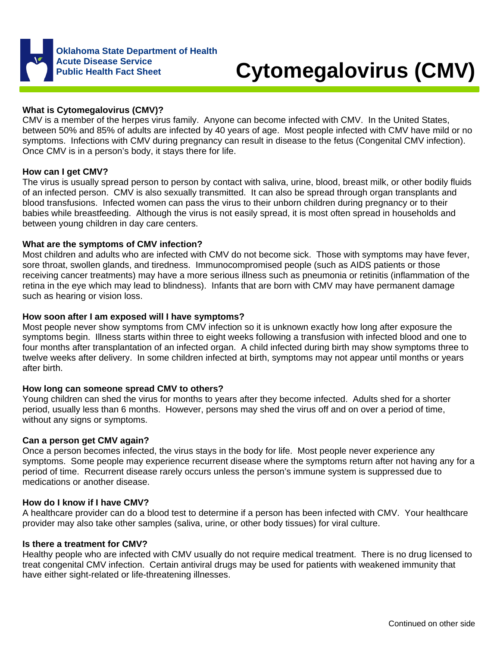

# **Cytomegalovirus (CMV)**

# **What is Cytomegalovirus (CMV)?**

CMV is a member of the herpes virus family. Anyone can become infected with CMV. In the United States, between 50% and 85% of adults are infected by 40 years of age. Most people infected with CMV have mild or no symptoms. Infections with CMV during pregnancy can result in disease to the fetus (Congenital CMV infection). Once CMV is in a person's body, it stays there for life.

## **How can I get CMV?**

The virus is usually spread person to person by contact with saliva, urine, blood, breast milk, or other bodily fluids of an infected person. CMV is also sexually transmitted. It can also be spread through organ transplants and blood transfusions. Infected women can pass the virus to their unborn children during pregnancy or to their babies while breastfeeding. Although the virus is not easily spread, it is most often spread in households and between young children in day care centers.

#### **What are the symptoms of CMV infection?**

Most children and adults who are infected with CMV do not become sick. Those with symptoms may have fever, sore throat, swollen glands, and tiredness. Immunocompromised people (such as AIDS patients or those receiving cancer treatments) may have a more serious illness such as pneumonia or retinitis (inflammation of the retina in the eye which may lead to blindness). Infants that are born with CMV may have permanent damage such as hearing or vision loss.

# **How soon after I am exposed will I have symptoms?**

Most people never show symptoms from CMV infection so it is unknown exactly how long after exposure the symptoms begin. Illness starts within three to eight weeks following a transfusion with infected blood and one to four months after transplantation of an infected organ. A child infected during birth may show symptoms three to twelve weeks after delivery. In some children infected at birth, symptoms may not appear until months or years after birth.

## **How long can someone spread CMV to others?**

Young children can shed the virus for months to years after they become infected. Adults shed for a shorter period, usually less than 6 months. However, persons may shed the virus off and on over a period of time, without any signs or symptoms.

## **Can a person get CMV again?**

Once a person becomes infected, the virus stays in the body for life. Most people never experience any symptoms. Some people may experience recurrent disease where the symptoms return after not having any for a period of time. Recurrent disease rarely occurs unless the person's immune system is suppressed due to medications or another disease.

#### **How do I know if I have CMV?**

A healthcare provider can do a blood test to determine if a person has been infected with CMV. Your healthcare provider may also take other samples (saliva, urine, or other body tissues) for viral culture.

## **Is there a treatment for CMV?**

Healthy people who are infected with CMV usually do not require medical treatment. There is no drug licensed to treat congenital CMV infection. Certain antiviral drugs may be used for patients with weakened immunity that have either sight-related or life-threatening illnesses.